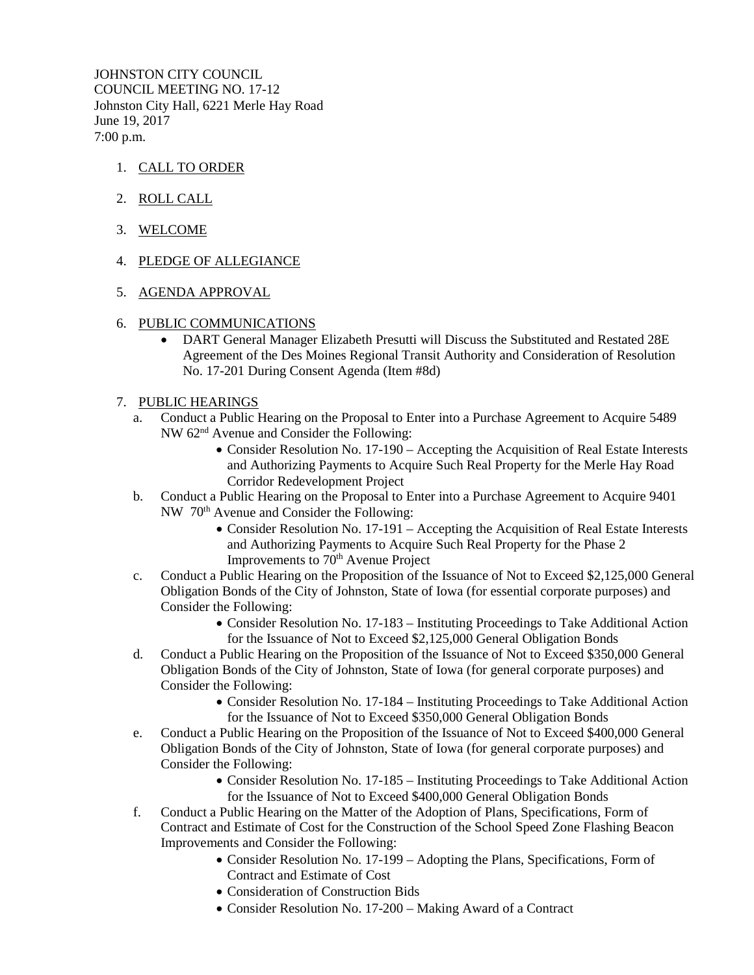JOHNSTON CITY COUNCIL COUNCIL MEETING NO. 17-12 Johnston City Hall, 6221 Merle Hay Road June 19, 2017 7:00 p.m.

- 1. CALL TO ORDER
- 2. ROLL CALL
- 3. WELCOME
- 4. PLEDGE OF ALLEGIANCE
- 5. AGENDA APPROVAL
- 6. PUBLIC COMMUNICATIONS
	- DART General Manager Elizabeth Presutti will Discuss the Substituted and Restated 28E Agreement of the Des Moines Regional Transit Authority and Consideration of Resolution No. 17-201 During Consent Agenda (Item #8d)
- 7. PUBLIC HEARINGS
	- a. Conduct a Public Hearing on the Proposal to Enter into a Purchase Agreement to Acquire 5489 NW 62nd Avenue and Consider the Following:
		- Consider Resolution No. 17-190 Accepting the Acquisition of Real Estate Interests and Authorizing Payments to Acquire Such Real Property for the Merle Hay Road Corridor Redevelopment Project
	- b. Conduct a Public Hearing on the Proposal to Enter into a Purchase Agreement to Acquire 9401 NW 70th Avenue and Consider the Following:
		- Consider Resolution No. 17-191 Accepting the Acquisition of Real Estate Interests and Authorizing Payments to Acquire Such Real Property for the Phase 2 Improvements to 70<sup>th</sup> Avenue Project
	- c. Conduct a Public Hearing on the Proposition of the Issuance of Not to Exceed \$2,125,000 General Obligation Bonds of the City of Johnston, State of Iowa (for essential corporate purposes) and Consider the Following:
		- Consider Resolution No. 17-183 Instituting Proceedings to Take Additional Action for the Issuance of Not to Exceed \$2,125,000 General Obligation Bonds
	- d. Conduct a Public Hearing on the Proposition of the Issuance of Not to Exceed \$350,000 General Obligation Bonds of the City of Johnston, State of Iowa (for general corporate purposes) and Consider the Following:
		- Consider Resolution No. 17-184 Instituting Proceedings to Take Additional Action for the Issuance of Not to Exceed \$350,000 General Obligation Bonds
	- e. Conduct a Public Hearing on the Proposition of the Issuance of Not to Exceed \$400,000 General Obligation Bonds of the City of Johnston, State of Iowa (for general corporate purposes) and Consider the Following:
		- Consider Resolution No. 17-185 Instituting Proceedings to Take Additional Action for the Issuance of Not to Exceed \$400,000 General Obligation Bonds
	- f. Conduct a Public Hearing on the Matter of the Adoption of Plans, Specifications, Form of Contract and Estimate of Cost for the Construction of the School Speed Zone Flashing Beacon Improvements and Consider the Following:
		- Consider Resolution No. 17-199 Adopting the Plans, Specifications, Form of Contract and Estimate of Cost
		- Consideration of Construction Bids
		- Consider Resolution No. 17-200 Making Award of a Contract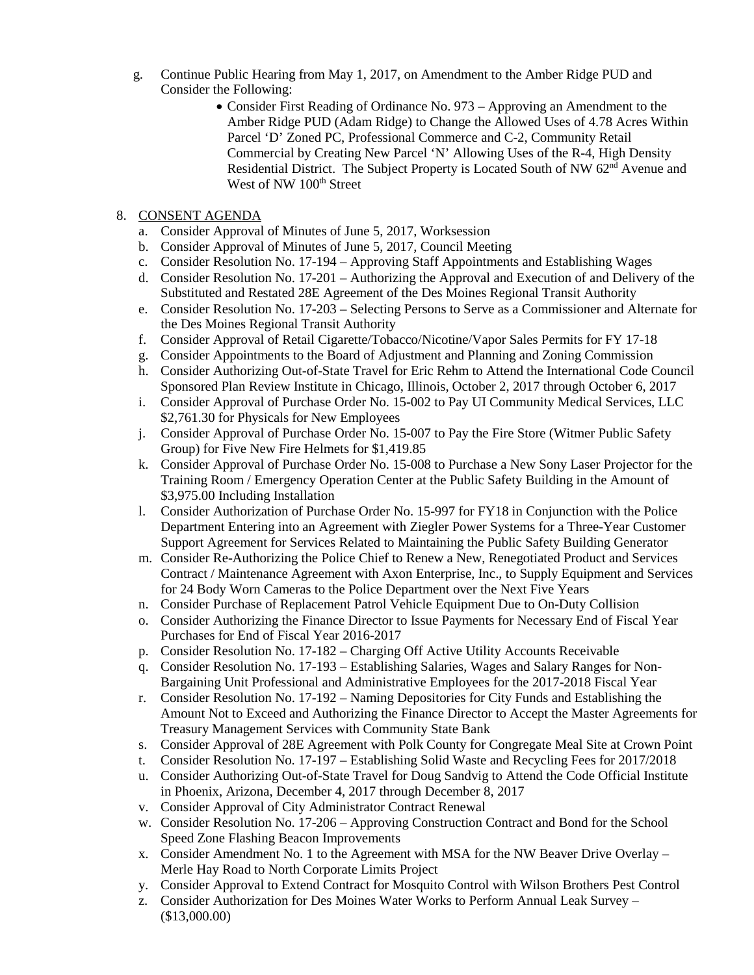- g. Continue Public Hearing from May 1, 2017, on Amendment to the Amber Ridge PUD and Consider the Following:
	- Consider First Reading of Ordinance No. 973 Approving an Amendment to the Amber Ridge PUD (Adam Ridge) to Change the Allowed Uses of 4.78 Acres Within Parcel 'D' Zoned PC, Professional Commerce and C-2, Community Retail Commercial by Creating New Parcel 'N' Allowing Uses of the R-4, High Density Residential District. The Subject Property is Located South of NW 62<sup>nd</sup> Avenue and West of NW 100<sup>th</sup> Street

## 8. CONSENT AGENDA

- a. Consider Approval of Minutes of June 5, 2017, Worksession
- b. Consider Approval of Minutes of June 5, 2017, Council Meeting
- c. Consider Resolution No. 17-194 Approving Staff Appointments and Establishing Wages
- d. Consider Resolution No. 17-201 Authorizing the Approval and Execution of and Delivery of the Substituted and Restated 28E Agreement of the Des Moines Regional Transit Authority
- e. Consider Resolution No. 17-203 Selecting Persons to Serve as a Commissioner and Alternate for the Des Moines Regional Transit Authority
- f. Consider Approval of Retail Cigarette/Tobacco/Nicotine/Vapor Sales Permits for FY 17-18
- g. Consider Appointments to the Board of Adjustment and Planning and Zoning Commission
- h. Consider Authorizing Out-of-State Travel for Eric Rehm to Attend the International Code Council Sponsored Plan Review Institute in Chicago, Illinois, October 2, 2017 through October 6, 2017
- i. Consider Approval of Purchase Order No. 15-002 to Pay UI Community Medical Services, LLC \$2,761.30 for Physicals for New Employees
- j. Consider Approval of Purchase Order No. 15-007 to Pay the Fire Store (Witmer Public Safety Group) for Five New Fire Helmets for \$1,419.85
- k. Consider Approval of Purchase Order No. 15-008 to Purchase a New Sony Laser Projector for the Training Room / Emergency Operation Center at the Public Safety Building in the Amount of \$3,975.00 Including Installation
- l. Consider Authorization of Purchase Order No. 15-997 for FY18 in Conjunction with the Police Department Entering into an Agreement with Ziegler Power Systems for a Three-Year Customer Support Agreement for Services Related to Maintaining the Public Safety Building Generator
- m. Consider Re-Authorizing the Police Chief to Renew a New, Renegotiated Product and Services Contract / Maintenance Agreement with Axon Enterprise, Inc., to Supply Equipment and Services for 24 Body Worn Cameras to the Police Department over the Next Five Years
- n. Consider Purchase of Replacement Patrol Vehicle Equipment Due to On-Duty Collision
- o. Consider Authorizing the Finance Director to Issue Payments for Necessary End of Fiscal Year Purchases for End of Fiscal Year 2016-2017
- p. Consider Resolution No. 17-182 Charging Off Active Utility Accounts Receivable
- q. Consider Resolution No. 17-193 Establishing Salaries, Wages and Salary Ranges for Non-Bargaining Unit Professional and Administrative Employees for the 2017-2018 Fiscal Year
- r. Consider Resolution No. 17-192 Naming Depositories for City Funds and Establishing the Amount Not to Exceed and Authorizing the Finance Director to Accept the Master Agreements for Treasury Management Services with Community State Bank
- s. Consider Approval of 28E Agreement with Polk County for Congregate Meal Site at Crown Point
- t. Consider Resolution No. 17-197 Establishing Solid Waste and Recycling Fees for 2017/2018
- u. Consider Authorizing Out-of-State Travel for Doug Sandvig to Attend the Code Official Institute in Phoenix, Arizona, December 4, 2017 through December 8, 2017
- v. Consider Approval of City Administrator Contract Renewal
- w. Consider Resolution No. 17-206 Approving Construction Contract and Bond for the School Speed Zone Flashing Beacon Improvements
- x. Consider Amendment No. 1 to the Agreement with MSA for the NW Beaver Drive Overlay Merle Hay Road to North Corporate Limits Project
- y. Consider Approval to Extend Contract for Mosquito Control with Wilson Brothers Pest Control
- z. Consider Authorization for Des Moines Water Works to Perform Annual Leak Survey (\$13,000.00)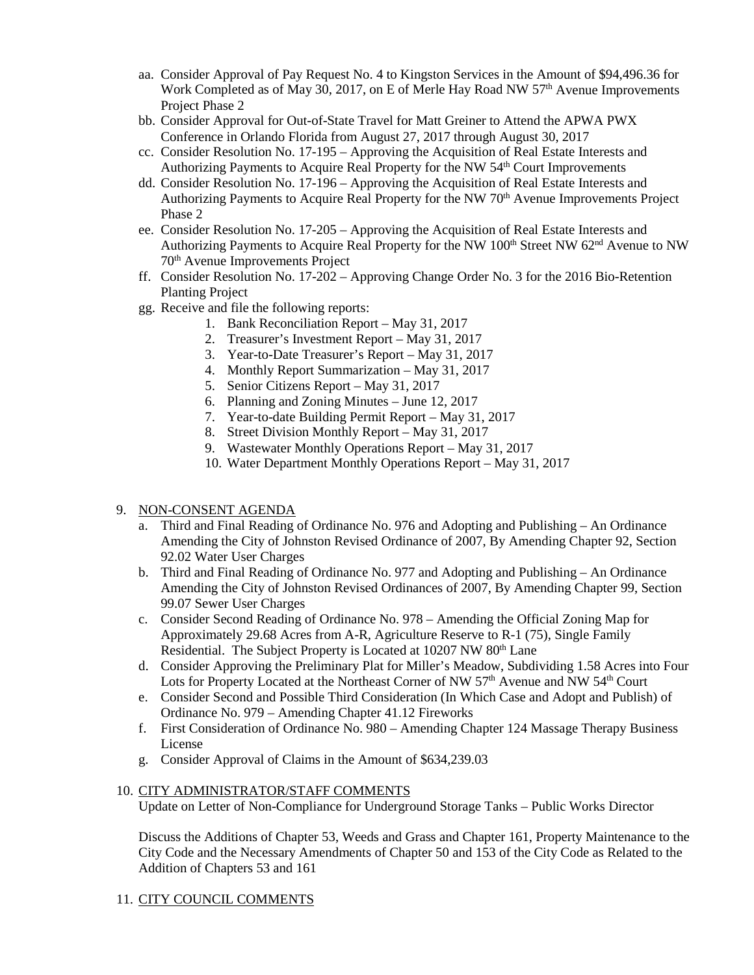- aa. Consider Approval of Pay Request No. 4 to Kingston Services in the Amount of \$94,496.36 for Work Completed as of May 30, 2017, on E of Merle Hay Road NW 57<sup>th</sup> Avenue Improvements Project Phase 2
- bb. Consider Approval for Out-of-State Travel for Matt Greiner to Attend the APWA PWX Conference in Orlando Florida from August 27, 2017 through August 30, 2017
- cc. Consider Resolution No. 17-195 Approving the Acquisition of Real Estate Interests and Authorizing Payments to Acquire Real Property for the NW 54<sup>th</sup> Court Improvements
- dd. Consider Resolution No. 17-196 Approving the Acquisition of Real Estate Interests and Authorizing Payments to Acquire Real Property for the NW 70<sup>th</sup> Avenue Improvements Project Phase 2
- ee. Consider Resolution No. 17-205 Approving the Acquisition of Real Estate Interests and Authorizing Payments to Acquire Real Property for the NW 100<sup>th</sup> Street NW 62<sup>nd</sup> Avenue to NW 70th Avenue Improvements Project
- ff. Consider Resolution No. 17-202 Approving Change Order No. 3 for the 2016 Bio-Retention Planting Project
- gg. Receive and file the following reports:
	- 1. Bank Reconciliation Report May 31, 2017
	- 2. Treasurer's Investment Report May 31, 2017
	- 3. Year-to-Date Treasurer's Report May 31, 2017
	- 4. Monthly Report Summarization May 31, 2017
	- 5. Senior Citizens Report May 31, 2017
	- 6. Planning and Zoning Minutes June 12, 2017
	- 7. Year-to-date Building Permit Report May 31, 2017
	- 8. Street Division Monthly Report May 31, 2017
	- 9. Wastewater Monthly Operations Report May 31, 2017
	- 10. Water Department Monthly Operations Report May 31, 2017

## 9. NON-CONSENT AGENDA

- a. Third and Final Reading of Ordinance No. 976 and Adopting and Publishing An Ordinance Amending the City of Johnston Revised Ordinance of 2007, By Amending Chapter 92, Section 92.02 Water User Charges
- b. Third and Final Reading of Ordinance No. 977 and Adopting and Publishing An Ordinance Amending the City of Johnston Revised Ordinances of 2007, By Amending Chapter 99, Section 99.07 Sewer User Charges
- c. Consider Second Reading of Ordinance No. 978 Amending the Official Zoning Map for Approximately 29.68 Acres from A-R, Agriculture Reserve to R-1 (75), Single Family Residential. The Subject Property is Located at 10207 NW 80<sup>th</sup> Lane
- d. Consider Approving the Preliminary Plat for Miller's Meadow, Subdividing 1.58 Acres into Four Lots for Property Located at the Northeast Corner of NW 57<sup>th</sup> Avenue and NW 54<sup>th</sup> Court
- e. Consider Second and Possible Third Consideration (In Which Case and Adopt and Publish) of Ordinance No. 979 – Amending Chapter 41.12 Fireworks
- f. First Consideration of Ordinance No. 980 Amending Chapter 124 Massage Therapy Business License
- g. Consider Approval of Claims in the Amount of \$634,239.03

#### 10. CITY ADMINISTRATOR/STAFF COMMENTS Update on Letter of Non-Compliance for Underground Storage Tanks – Public Works Director

Discuss the Additions of Chapter 53, Weeds and Grass and Chapter 161, Property Maintenance to the City Code and the Necessary Amendments of Chapter 50 and 153 of the City Code as Related to the Addition of Chapters 53 and 161

# 11. CITY COUNCIL COMMENTS